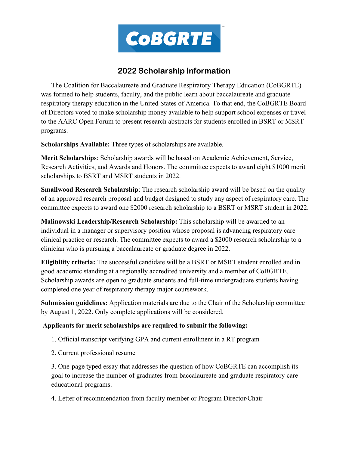

## **2022 Scholarship Information**

The Coalition for Baccalaureate and Graduate Respiratory Therapy Education (CoBGRTE) was formed to help students, faculty, and the public learn about baccalaureate and graduate respiratory therapy education in the United States of America. To that end, the CoBGRTE Board of Directors voted to make scholarship money available to help support school expenses or travel to the AARC Open Forum to present research abstracts for students enrolled in BSRT or MSRT programs.

**Scholarships Available:** Three types of scholarships are available.

**Merit Scholarships**: Scholarship awards will be based on Academic Achievement, Service, Research Activities, and Awards and Honors. The committee expects to award eight \$1000 merit scholarships to BSRT and MSRT students in 2022.

**Smallwood Research Scholarship**: The research scholarship award will be based on the quality of an approved research proposal and budget designed to study any aspect of respiratory care. The committee expects to award one \$2000 research scholarship to a BSRT or MSRT student in 2022.

**Malinowski Leadership/Research Scholarship:** This scholarship will be awarded to an individual in a manager or supervisory position whose proposal is advancing respiratory care clinical practice or research. The committee expects to award a \$2000 research scholarship to a clinician who is pursuing a baccalaureate or graduate degree in 2022.

**Eligibility criteria:** The successful candidate will be a BSRT or MSRT student enrolled and in good academic standing at a regionally accredited university and a member of CoBGRTE. Scholarship awards are open to graduate students and full-time undergraduate students having completed one year of respiratory therapy major coursework.

**Submission guidelines:** Application materials are due to the Chair of the Scholarship committee by August 1, 2022. Only complete applications will be considered.

## **Applicants for merit scholarships are required to submit the following:**

- 1. Official transcript verifying GPA and current enrollment in a RT program
- 2. Current professional resume

3. One-page typed essay that addresses the question of how CoBGRTE can accomplish its goal to increase the number of graduates from baccalaureate and graduate respiratory care educational programs.

4. Letter of recommendation from faculty member or Program Director/Chair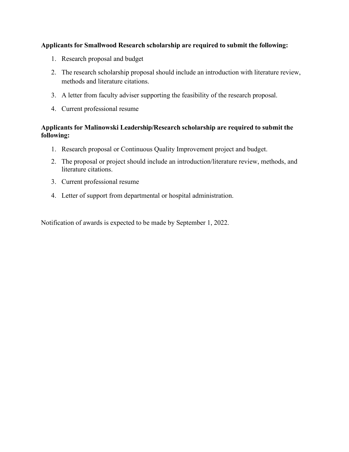## **Applicants for Smallwood Research scholarship are required to submit the following:**

- 1. Research proposal and budget
- 2. The research scholarship proposal should include an introduction with literature review, methods and literature citations.
- 3. A letter from faculty adviser supporting the feasibility of the research proposal.
- 4. Current professional resume

## **Applicants for Malinowski Leadership/Research scholarship are required to submit the following:**

- 1. Research proposal or Continuous Quality Improvement project and budget.
- 2. The proposal or project should include an introduction/literature review, methods, and literature citations.
- 3. Current professional resume
- 4. Letter of support from departmental or hospital administration.

Notification of awards is expected to be made by September 1, 2022.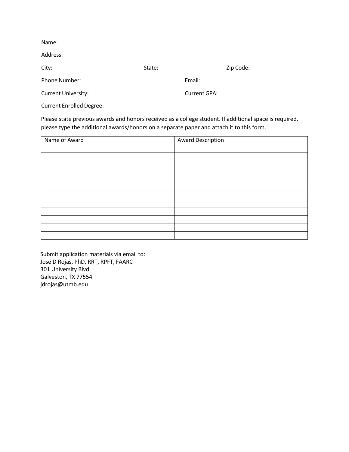| Name:                           |        |              |           |
|---------------------------------|--------|--------------|-----------|
| Address:                        |        |              |           |
| City:                           | State: |              | Zip Code: |
| Phone Number:                   |        | Email:       |           |
| <b>Current University:</b>      |        | Current GPA: |           |
| <b>Current Enrolled Degree:</b> |        |              |           |

Please state previous awards and honors received as a college student. If additional space is required, please type the additional awards/honors on a separate paper and attach it to this form.

| Name of Award | <b>Award Description</b> |  |
|---------------|--------------------------|--|
|               |                          |  |
|               |                          |  |
|               |                          |  |
|               |                          |  |
|               |                          |  |
|               |                          |  |
|               |                          |  |
|               |                          |  |
|               |                          |  |
|               |                          |  |
|               |                          |  |
|               |                          |  |

Submit application materials via email to: José D Rojas, PhD, RRT, RPFT, FAARC 301 University Blvd Galveston, TX 77554 jdrojas@utmb.edu